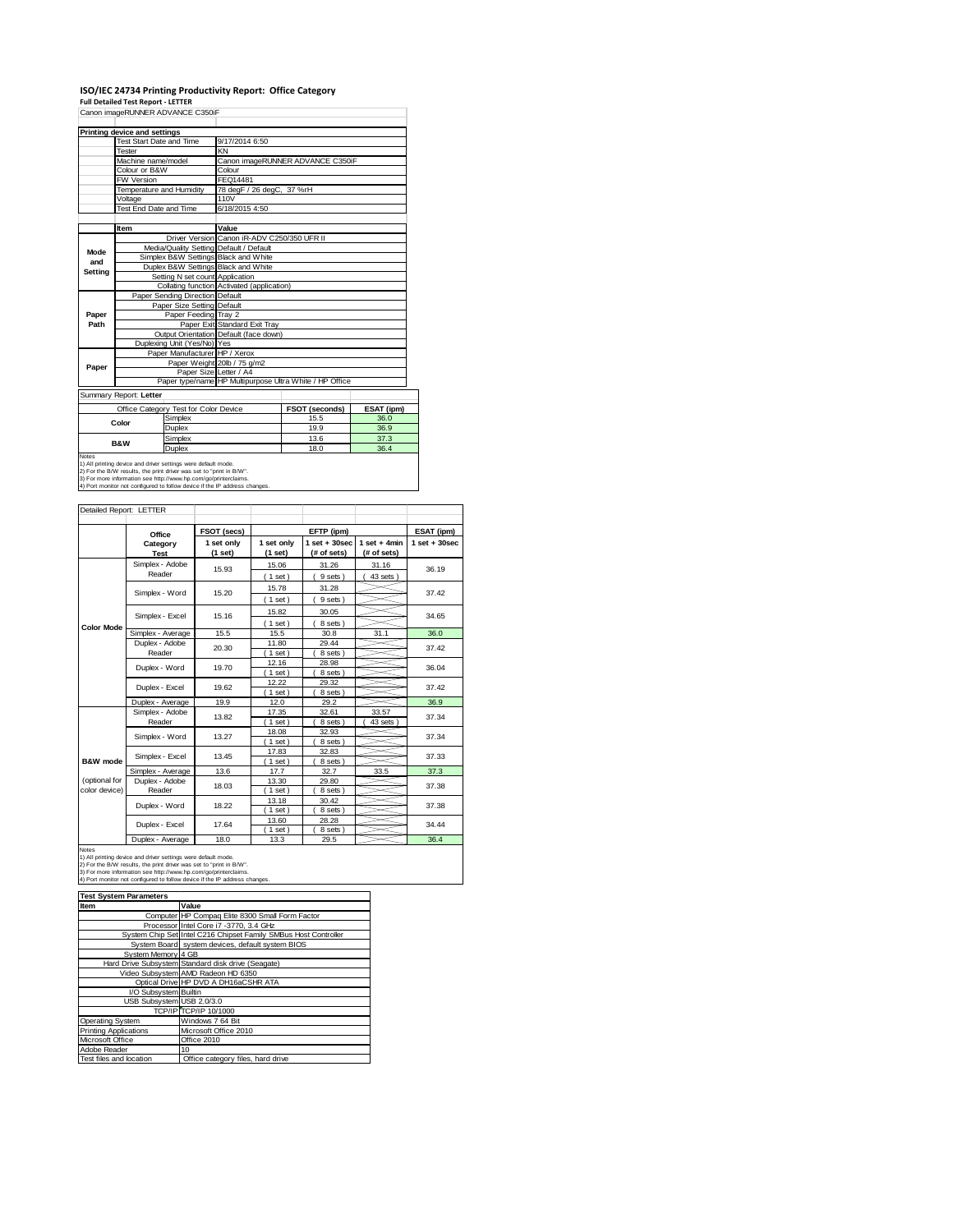### ISO/IEC 24734 Printing Productivity Report: Office Category<br>Full Detailed Test Report - LETTER<br>Canon imageRUNNER ADVANCE C350iF

|         | Printing device and settings |                                                       |                                                         |                                  |                   |
|---------|------------------------------|-------------------------------------------------------|---------------------------------------------------------|----------------------------------|-------------------|
|         | Test Start Date and Time     |                                                       | 9/17/2014 6:50                                          |                                  |                   |
|         | Tester                       |                                                       | KN                                                      |                                  |                   |
|         | Machine name/model           |                                                       |                                                         | Canon imageRUNNER ADVANCE C350iF |                   |
|         | Colour or B&W                |                                                       | Colour                                                  |                                  |                   |
|         | FW Version                   |                                                       | FEQ14481                                                |                                  |                   |
|         |                              | Temperature and Humidity<br>78 degF / 26 degC, 37 %rH |                                                         |                                  |                   |
|         | Voltage                      |                                                       | 110V                                                    |                                  |                   |
|         | Test End Date and Time       |                                                       | 6/18/2015 4:50                                          |                                  |                   |
|         |                              |                                                       |                                                         |                                  |                   |
|         | Item                         |                                                       | Value                                                   |                                  |                   |
|         |                              |                                                       | Driver Version Canon iR-ADV C250/350 UFR II             |                                  |                   |
| Mode    |                              |                                                       | Media/Quality Setting Default / Default                 |                                  |                   |
| and     |                              |                                                       | Simplex B&W Settings Black and White                    |                                  |                   |
|         |                              |                                                       | Duplex B&W Settings Black and White                     |                                  |                   |
| Setting |                              | Setting N set count Application                       |                                                         |                                  |                   |
|         |                              |                                                       | Collating function Activated (application)              |                                  |                   |
|         |                              | Paper Sending Direction Default                       |                                                         |                                  |                   |
|         |                              | Paper Size Setting Default                            |                                                         |                                  |                   |
| Paper   |                              | Paper Feeding Tray 2                                  |                                                         |                                  |                   |
| Path    |                              |                                                       | Paper Exit Standard Exit Tray                           |                                  |                   |
|         |                              |                                                       | Output Orientation Default (face down)                  |                                  |                   |
|         |                              | Duplexing Unit (Yes/No) Yes                           |                                                         |                                  |                   |
|         |                              | Paper Manufacturer HP / Xerox                         |                                                         |                                  |                   |
| Paper   |                              |                                                       | Paper Weight 20lb / 75 g/m2                             |                                  |                   |
|         |                              | Paper Size Letter / A4                                |                                                         |                                  |                   |
|         |                              |                                                       | Paper type/name HP Multipurpose Ultra White / HP Office |                                  |                   |
|         | Summary Report: Letter       |                                                       |                                                         |                                  |                   |
|         |                              | Office Category Test for Color Device                 |                                                         | FSOT (seconds)                   | <b>ESAT (ipm)</b> |
|         |                              | Simplex                                               |                                                         | 15.5                             | 36.0              |
|         | Color                        | Duplex                                                |                                                         | 19.9                             | 36.9              |
|         |                              |                                                       |                                                         |                                  |                   |

 $\overline{\phantom{a}}$ 

|                                                                            | Office Category Test for Color Device | <b>FSOT (seconds)</b> | <b>ESAT (ipm</b> |  |  |
|----------------------------------------------------------------------------|---------------------------------------|-----------------------|------------------|--|--|
|                                                                            | Simplex                               | 15.5                  | 36.0             |  |  |
| Color                                                                      | Duplex                                | 19.9                  | 36.9             |  |  |
| <b>B&amp;W</b>                                                             | Simplex                               | 13.6                  | 37.3             |  |  |
|                                                                            | Duplex                                | 18.0                  | 36.4             |  |  |
| Notes                                                                      |                                       |                       |                  |  |  |
| 1) All printing device and driver settings were default mode.              |                                       |                       |                  |  |  |
| 2) For the B/W results, the print driver was set to "print in B/W".        |                                       |                       |                  |  |  |
| 3) For more information see http://www.hp.com/go/printerclaims.            |                                       |                       |                  |  |  |
| 4) Port monitor not configured to follow device if the IP address changes. |                                       |                       |                  |  |  |

| Detailed Report: LETTER        |                           |                       |                       |                                  |                               |                   |
|--------------------------------|---------------------------|-----------------------|-----------------------|----------------------------------|-------------------------------|-------------------|
|                                | Office                    | FSOT (secs)           |                       | EFTP (ipm)                       |                               | ESAT (ipm)        |
|                                | Category<br><b>Test</b>   | 1 set only<br>(1 set) | 1 set only<br>(1 set) | $1$ set $+30$ sec<br>(# of sets) | $1$ set + 4min<br>(# of sets) | $1$ set $+30$ sec |
|                                | Simplex - Adobe<br>Reader | 15.93                 | 15.06<br>(1 set)      | 31.26<br>9 sets)                 | 31.16<br>43 sets              | 36.19             |
|                                | Simplex - Word            | 15.20                 | 15.78<br>(1 set)      | 31.28<br>9 sets)                 |                               | 37.42             |
|                                | Simplex - Excel           | 15.16                 | 15.82<br>(1 set)      | 30.05<br>8 sets)                 |                               | 34.65             |
| <b>Color Mode</b>              | Simplex - Average         | 15.5                  | 15.5                  | 30.8                             | 31.1                          | 36.0              |
|                                | Duplex - Adobe<br>Reader  | 20.30                 | 11.80<br>1 set)       | 29.44<br>8 sets)                 |                               | 37.42             |
|                                | Duplex - Word             | 19.70                 | 12.16<br>$1$ set)     | 28.98<br>8 sets                  |                               | 36.04             |
|                                | Duplex - Excel            | 19.62                 | 12.22<br>$1$ set $)$  | 29.32<br>8 sets)                 |                               | 37.42             |
|                                | Duplex - Average          | 19.9                  | 12.0                  | 29.2                             |                               | 36.9              |
|                                | Simplex - Adobe<br>Reader | 13.82                 | 17.35<br>1 set)       | 32.61<br>8 sets                  | 33.57<br>43 sets              | 37.34             |
|                                | Simplex - Word            | 13.27                 | 18.08<br>$1$ set)     | 32.93<br>8 sets)                 |                               | 37.34             |
| B&W mode                       | Simplex - Excel           | 13.45                 | 17.83<br>1 set        | 32.83<br>8 sets)                 |                               | 37.33             |
|                                | Simplex - Average         | 13.6                  | 17.7                  | 32.7                             | 33.5                          | 37.3              |
| (optional for<br>color device) | Duplex - Adobe<br>Reader  | 18.03                 | 13.30<br>1 set)       | 29.80<br>8 sets)                 |                               | 37.38             |
|                                | Duplex - Word             | 18.22                 | 13.18<br>$1$ set)     | 30.42<br>8 sets)                 |                               | 37.38             |
|                                | Duplex - Excel            | 17.64                 | 13.60<br>$1$ set)     | 28.28<br>8 sets)                 |                               | 34.44             |
|                                | Duplex - Average          | 18.0                  | 13.3                  | 29.5                             |                               | 36.4              |

Notes<br>1) All printing device and driver settings were default mode.<br>2) For the B/W results, the print driver was set to "print in B/W".<br>3) For more information see http://www.hp.com/go/printerclaims.<br>4) Port monitor not co

#### **Iffer System Parameters**<br>Item **Value**

| Item                         | Value                                                           |
|------------------------------|-----------------------------------------------------------------|
|                              | Computer HP Compaq Elite 8300 Small Form Factor                 |
|                              | Processor Intel Core i7 -3770, 3.4 GHz                          |
|                              | System Chip Set Intel C216 Chipset Family SMBus Host Controller |
|                              | System Board system devices, default system BIOS                |
| System Memory 4 GB           |                                                                 |
|                              | Hard Drive Subsystem Standard disk drive (Seagate)              |
|                              | Video Subsystem AMD Radeon HD 6350                              |
|                              | Optical Drive HP DVD A DH16aCSHR ATA                            |
| I/O Subsystem Builtin        |                                                                 |
| USB Subsystem USB 2.0/3.0    |                                                                 |
|                              | TCP/IP TCP/IP 10/1000                                           |
| <b>Operating System</b>      | Windows 7 64 Bit                                                |
| <b>Printing Applications</b> | Microsoft Office 2010                                           |
| Microsoft Office             | Office 2010                                                     |
| Adobe Reader                 | 10                                                              |
| Test files and location      | Office category files, hard drive                               |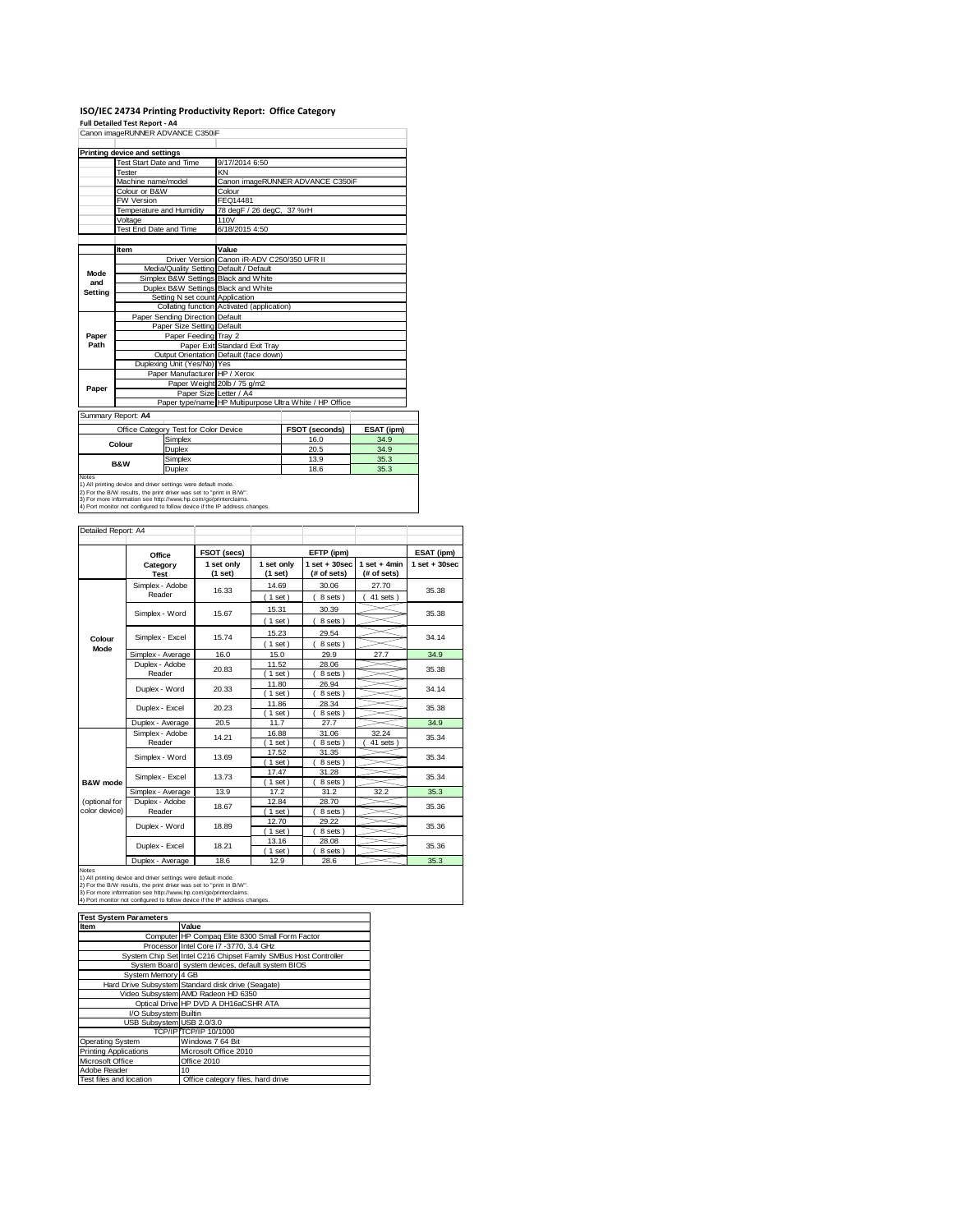## **ISO/IEC 24734 Printing Productivity Report: Office Category Full Detailed Test Report ‐ A4** Canon imageRUNNER ADVANCE C350iF

|                                       | Printing device and settings            |                               |                                             |                                                         |                   |
|---------------------------------------|-----------------------------------------|-------------------------------|---------------------------------------------|---------------------------------------------------------|-------------------|
|                                       | Test Start Date and Time                |                               | 9/17/2014 6:50                              |                                                         |                   |
|                                       | <b>Tester</b>                           |                               | KN                                          |                                                         |                   |
|                                       | Machine name/model                      |                               |                                             | Canon imageRUNNER ADVANCE C350iF                        |                   |
|                                       | Colour or B&W                           |                               | Colour                                      |                                                         |                   |
|                                       | FW Version                              |                               | FEQ14481                                    |                                                         |                   |
|                                       | Temperature and Humidity                |                               | 78 degF / 26 degC, 37 %rH                   |                                                         |                   |
|                                       | Voltage                                 |                               | 110V                                        |                                                         |                   |
|                                       | Test End Date and Time                  |                               | 6/18/2015 4:50                              |                                                         |                   |
|                                       |                                         |                               |                                             |                                                         |                   |
|                                       | Item                                    |                               | Value                                       |                                                         |                   |
|                                       |                                         |                               | Driver Version Canon iR-ADV C250/350 UFR II |                                                         |                   |
|                                       | Media/Quality Setting Default / Default |                               |                                             |                                                         |                   |
| Mode<br>and                           | Simplex B&W Settings Black and White    |                               |                                             |                                                         |                   |
| Setting                               | Duplex B&W Settings Black and White     |                               |                                             |                                                         |                   |
|                                       | Setting N set count Application         |                               |                                             |                                                         |                   |
|                                       |                                         |                               | Collating function Activated (application)  |                                                         |                   |
|                                       | Paper Sending Direction Default         |                               |                                             |                                                         |                   |
|                                       | Paper Size Setting Default              |                               |                                             |                                                         |                   |
| Paper                                 | Paper Feeding Tray 2                    |                               |                                             |                                                         |                   |
| Path                                  |                                         |                               | Paper Exit Standard Exit Tray               |                                                         |                   |
|                                       |                                         |                               | Output Orientation Default (face down)      |                                                         |                   |
|                                       |                                         | Duplexing Unit (Yes/No) Yes   |                                             |                                                         |                   |
|                                       |                                         | Paper Manufacturer HP / Xerox |                                             |                                                         |                   |
| Paper                                 |                                         |                               | Paper Weight 20lb / 75 g/m2                 |                                                         |                   |
|                                       | Paper Size Letter / A4                  |                               |                                             |                                                         |                   |
|                                       |                                         |                               |                                             | Paper type/name HP Multipurpose Ultra White / HP Office |                   |
| Summary Report: A4                    |                                         |                               |                                             |                                                         |                   |
| Office Category Test for Color Device |                                         |                               |                                             | <b>FSOT (seconds)</b>                                   | <b>ESAT (ipm)</b> |
| Simplex<br>Colour<br>Duplex           |                                         |                               | 16.0                                        | 34.9                                                    |                   |
|                                       |                                         |                               | 20.5                                        | 34.9                                                    |                   |
|                                       |                                         | Simplex                       |                                             | 13.9                                                    | 35.3              |
|                                       | <b>B&amp;W</b>                          | Duplex                        |                                             | 18.6                                                    | 35.3              |
| <b>Notes</b>                          |                                         |                               |                                             |                                                         |                   |

Notes<br>1) All printing device and driver settings were default mode.<br>2) For the B/W results, the print driver was set to "print in B/W".<br>3) For more information see http://www.hp.com/go/printerclaims.<br>4) Port monitor not co

| Detailed Report: A4            |                           |                       |                       |                                  |                               |                   |
|--------------------------------|---------------------------|-----------------------|-----------------------|----------------------------------|-------------------------------|-------------------|
|                                | Office                    | FSOT (secs)           |                       | EFTP (ipm)                       |                               | ESAT (ipm)        |
|                                | Category<br><b>Test</b>   | 1 set only<br>(1 set) | 1 set only<br>(1 set) | $1$ set $+30$ sec<br>(# of sets) | $1$ set + 4min<br>(# of sets) | $1$ set $+30$ sec |
|                                | Simplex - Adobe<br>Reader | 16.33                 | 14.69<br>(1 set)      | 30.06<br>8 sets                  | 27.70<br>41 sets              | 35.38             |
|                                | Simplex - Word            | 15.67                 | 15.31<br>$1$ set)     | 30.39<br>8 sets)                 |                               | 35.38             |
| Colour                         | Simplex - Excel           | 15.74                 | 15.23<br>$1$ set)     | 29.54<br>8 sets                  |                               | 34.14             |
| Mode                           | Simplex - Average         | 16.0                  | 15.0                  | 29.9                             | 27.7                          | 34.9              |
|                                | Duplex - Adobe<br>Reader  | 20.83                 | 11.52<br>$1$ set)     | 28.06<br>8 sets)                 |                               | 35.38             |
|                                | Duplex - Word             | 20.33                 | 11.80<br>$1$ set)     | 26.94<br>8 sets                  |                               | 34.14             |
|                                | Duplex - Excel            | 20.23                 | 11.86<br>$1$ set)     | 28.34<br>8 sets)                 |                               | 35.38             |
|                                | Duplex - Average          | 20.5                  | 11.7                  | 27.7                             |                               | 34.9              |
|                                | Simplex - Adobe<br>Reader | 14.21                 | 16.88<br>1 set        | 31.06<br>8 sets                  | 32.24<br>41 sets              | 35.34             |
|                                | Simplex - Word            | 13.69                 | 17.52<br>$1$ set)     | 31.35<br>8 sets)                 |                               | 35.34             |
| B&W mode                       | Simplex - Excel           | 13.73                 | 17.47<br>$1$ set)     | 31.28<br>8 sets)                 |                               | 35.34             |
|                                | Simplex - Average         | 13.9                  | 17.2                  | 31.2                             | 32.2                          | 35.3              |
| (optional for<br>color device) | Duplex - Adobe<br>Reader  | 18.67                 | 12.84<br>$1$ set)     | 28.70<br>8 sets)                 |                               | 35.36             |
|                                | Duplex - Word             | 18.89                 | 12.70<br>$1$ set)     | 29.22<br>8 sets)                 |                               | 35.36             |
|                                | Duplex - Excel            | 18.21                 | 13.16<br>$1$ set)     | 28.08<br>8 sets)                 |                               | 35.36             |
|                                | Duplex - Average          | 18.6                  | 12.9                  | 28.6                             |                               | 35.3              |

Notes<br>1) All printing device and driver settings were default mode.<br>2) For the B/W results, the print driver was set to "print in B/W".<br>3) For more information see http://www.hp.com/go/printerclaims.<br>4) Port monitor not co

| <b>Test System Parameters</b> |                                                                 |
|-------------------------------|-----------------------------------------------------------------|
| Item                          | Value                                                           |
|                               | Computer HP Compaq Elite 8300 Small Form Factor                 |
|                               | Processor Intel Core i7 -3770, 3.4 GHz                          |
|                               | System Chip Set Intel C216 Chipset Family SMBus Host Controller |
|                               | System Board system devices, default system BIOS                |
| System Memory 4 GB            |                                                                 |
|                               | Hard Drive Subsystem Standard disk drive (Seagate)              |
|                               | Video Subsystem AMD Radeon HD 6350                              |
|                               | Optical Drive HP DVD A DH16aCSHR ATA                            |
| I/O Subsystem Builtin         |                                                                 |
| USB Subsystem USB 2.0/3.0     |                                                                 |
|                               | TCP/IP TCP/IP 10/1000                                           |
| Operating System              | Windows 7 64 Bit                                                |
| <b>Printing Applications</b>  | Microsoft Office 2010                                           |
| Microsoft Office              | Office 2010                                                     |
| Adobe Reader                  | $10^{1}$                                                        |
| Test files and location       | Office category files, hard drive                               |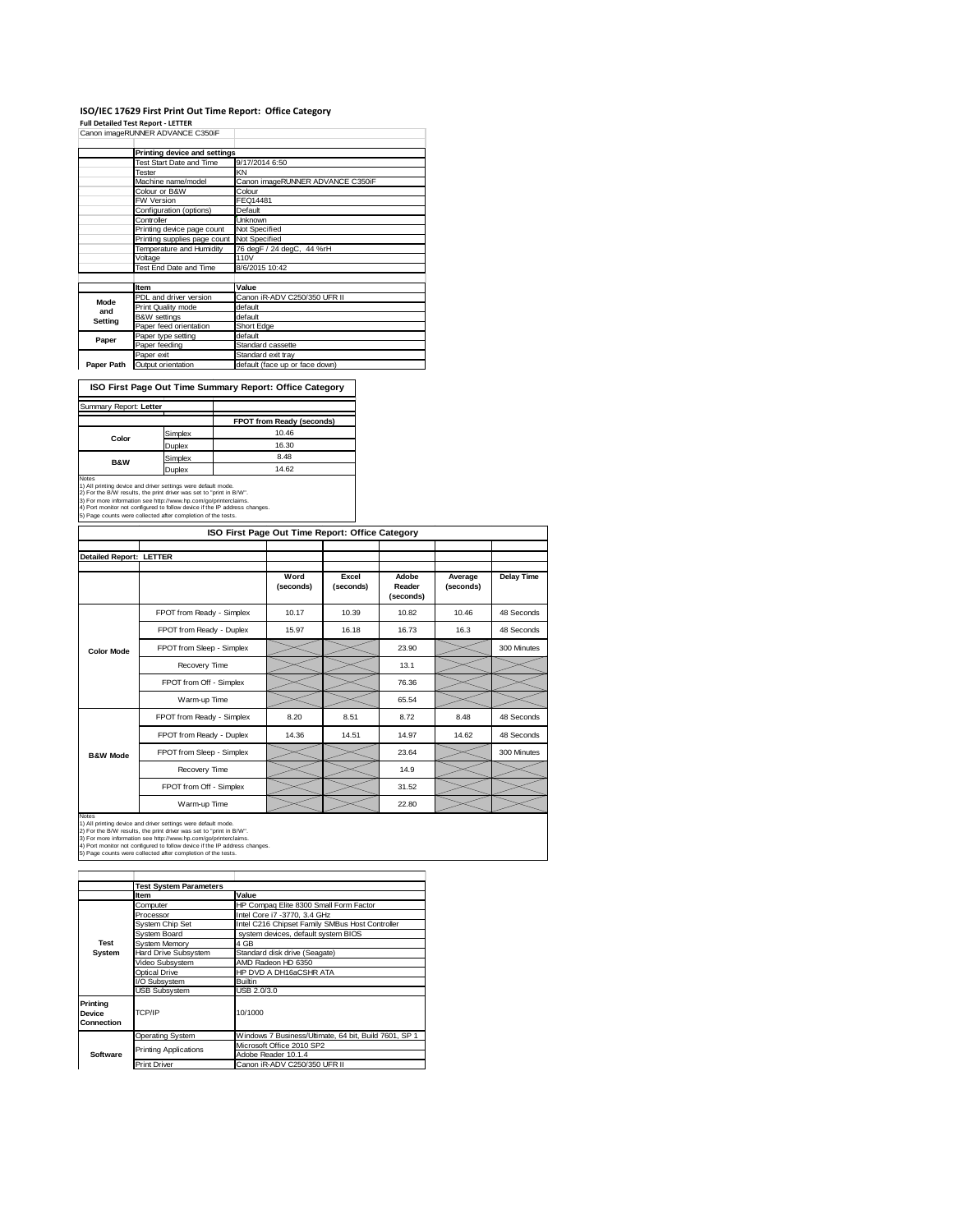## ISO/IEC 17629 First Print Out Time Report: Office Category<br>Full Detailed Test Report - LETTER<br>Canon imageRUNNER ADVANCE C350IF

|             | Printing device and settings |                                  |
|-------------|------------------------------|----------------------------------|
|             | Test Start Date and Time     | 9/17/2014 6:50                   |
|             | Tester                       | KN                               |
|             | Machine name/model           | Canon imageRUNNER ADVANCE C350iF |
|             | Colour or B&W                | Colour                           |
|             | <b>FW Version</b>            | FEQ14481                         |
|             | Configuration (options)      | Default                          |
|             | Controller                   | <b>Unknown</b>                   |
|             | Printing device page count   | Not Specified                    |
|             | Printing supplies page count | Not Specified                    |
|             | Temperature and Humidity     | 76 degF / 24 degC, 44 %rH        |
|             | Voltage                      | <b>110V</b>                      |
|             | Test End Date and Time       | 8/6/2015 10:42                   |
|             |                              |                                  |
|             | Item                         | Value                            |
| <b>Mode</b> | PDL and driver version       | Canon iR-ADV C250/350 UFR II     |
| and         | Print Quality mode           | default                          |
| Setting     | <b>B&amp;W</b> settings      | default                          |
|             | Paper feed orientation       | Short Edge                       |
| Paper       | Paper type setting           | default                          |
|             | Paper feeding                | Standard cassette                |
|             | Paper exit                   | Standard exit tray               |
| Paper Path  | Output orientation           | default (face up or face down)   |

**ISO First Page Out Time Summary Report: Office Category**

|                                                                                                                                                                                                                                                                                       | <b>FPOT from Ready (seconds)</b>                                                       |
|---------------------------------------------------------------------------------------------------------------------------------------------------------------------------------------------------------------------------------------------------------------------------------------|----------------------------------------------------------------------------------------|
| Simplex                                                                                                                                                                                                                                                                               | 10.46                                                                                  |
| Duplex                                                                                                                                                                                                                                                                                | 16.30                                                                                  |
| Simplex                                                                                                                                                                                                                                                                               | 8.48                                                                                   |
| Duplex                                                                                                                                                                                                                                                                                | 14.62                                                                                  |
| 1) All printing device and driver settings were default mode.<br>2) For the B/W results, the print driver was set to "print in B/W".<br>3) For more information see http://www.hp.com/go/printerclaims.<br>4) Port monitor not configured to follow device if the IP address changes. |                                                                                        |
|                                                                                                                                                                                                                                                                                       | Summary Report: Letter<br>5) Page counts were collected after completion of the tests. |

|                                | ISO First Page Out Time Report: Office Category |                   |                    |                              |                      |                   |
|--------------------------------|-------------------------------------------------|-------------------|--------------------|------------------------------|----------------------|-------------------|
| <b>Detailed Report: LETTER</b> |                                                 |                   |                    |                              |                      |                   |
|                                |                                                 | Word<br>(seconds) | Excel<br>(seconds) | Adobe<br>Reader<br>(seconds) | Average<br>(seconds) | <b>Delay Time</b> |
|                                | FPOT from Ready - Simplex                       | 10.17             | 10.39              | 10.82                        | 10.46                | 48 Seconds        |
|                                | FPOT from Ready - Duplex                        | 15.97             | 16.18              | 16.73                        | 16.3                 | 48 Seconds        |
| <b>Color Mode</b>              | FPOT from Sleep - Simplex                       |                   |                    | 23.90                        |                      | 300 Minutes       |
|                                | Recovery Time                                   |                   |                    | 13.1                         |                      |                   |
|                                | FPOT from Off - Simplex                         |                   |                    | 76.36                        |                      |                   |
|                                | Warm-up Time                                    |                   |                    | 65.54                        |                      |                   |
|                                | FPOT from Ready - Simplex                       | 8.20              | 8.51               | 8.72                         | 8.48                 | 48 Seconds        |
|                                | FPOT from Ready - Duplex                        | 14.36             | 14.51              | 14.97                        | 14.62                | 48 Seconds        |
| <b>B&amp;W Mode</b>            | FPOT from Sleep - Simplex                       |                   |                    | 23.64                        |                      | 300 Minutes       |
|                                | Recovery Time                                   |                   |                    | 14.9                         |                      |                   |
|                                | FPOT from Off - Simplex                         |                   |                    | 31.52                        |                      |                   |
|                                | Warm-up Time                                    |                   |                    | 22.80                        |                      |                   |

Notes<br>1) All printing device and driver settings were default mode.<br>2) For the B/W results, the print driver was set to "print in B/W".<br>3) For more information see http://www.hp.com/go/printerclaims.<br>4) Port monitor not co

|                                  | <b>Test System Parameters</b> |                                                       |
|----------------------------------|-------------------------------|-------------------------------------------------------|
|                                  | Item                          | Value                                                 |
|                                  | Computer                      | HP Compag Elite 8300 Small Form Factor                |
|                                  | Processor                     | Intel Core i7 -3770, 3.4 GHz                          |
|                                  | System Chip Set               | Intel C216 Chipset Family SMBus Host Controller       |
|                                  | System Board                  | system devices, default system BIOS                   |
| Test                             | System Memory                 | 4 GB                                                  |
| System                           | <b>Hard Drive Subsystem</b>   | Standard disk drive (Seagate)                         |
|                                  | Video Subsystem               | AMD Radeon HD 6350                                    |
|                                  | <b>Optical Drive</b>          | HP DVD A DH16aCSHR ATA                                |
|                                  | I/O Subsystem                 | <b>Builtin</b>                                        |
|                                  | <b>USB Subsystem</b>          | USB 2.0/3.0                                           |
| Printing<br>Device<br>Connection | TCP/IP                        | 10/1000                                               |
|                                  | <b>Operating System</b>       | Windows 7 Business/Ultimate, 64 bit, Build 7601, SP 1 |
|                                  |                               | Microsoft Office 2010 SP2                             |
| Software                         | <b>Printing Applications</b>  | Adobe Reader 10.1.4                                   |
|                                  | <b>Print Driver</b>           | Canon iR-ADV C250/350 UFR II                          |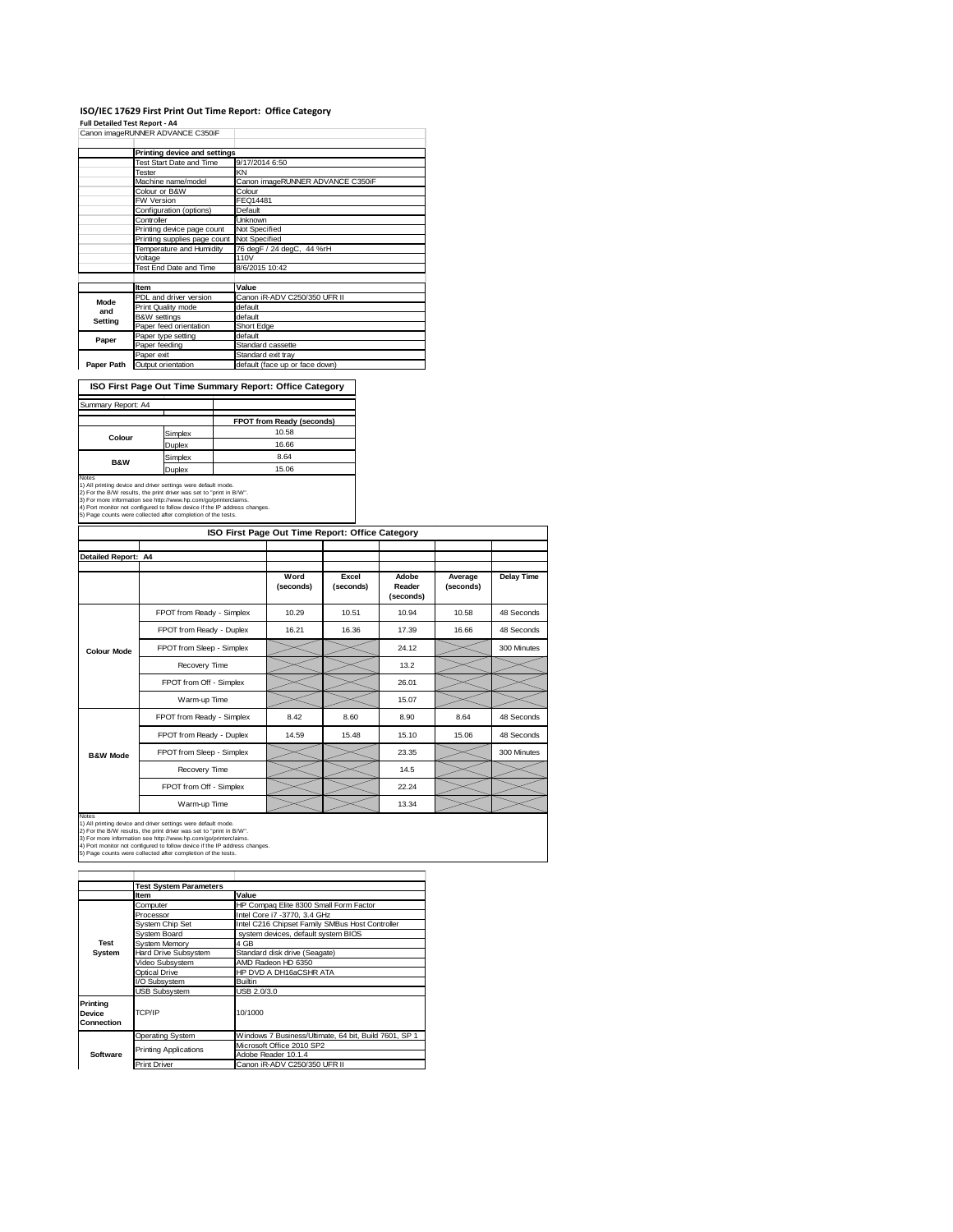#### **ISO/IEC 17629 First Print Out Time Report: Office Category**

**Full Detailed Test Report ‐ A4** Canon imageRUNNER ADVANCE C350iF

|             | Printing device and settings |                                  |
|-------------|------------------------------|----------------------------------|
|             | Test Start Date and Time     | 9/17/2014 6:50                   |
|             | Tester                       | KN                               |
|             | Machine name/model           | Canon imageRUNNER ADVANCE C350iF |
|             | Colour or B&W                | Colour                           |
|             | FW Version                   | FEQ14481                         |
|             | Configuration (options)      | Default                          |
|             | Controller                   | <b>Unknown</b>                   |
|             | Printing device page count   | Not Specified                    |
|             | Printing supplies page count | Not Specified                    |
|             | Temperature and Humidity     | 76 degF / 24 degC, 44 %rH        |
|             | Voltage                      | 110V                             |
|             | Test End Date and Time       | 8/6/2015 10:42                   |
|             |                              |                                  |
|             | Item                         | Value                            |
| <b>Mode</b> | PDL and driver version       | Canon iR-ADV C250/350 UFR II     |
| and         | Print Quality mode           | default                          |
| Setting     | <b>B&amp;W</b> settings      | default                          |
|             | Paper feed orientation       | Short Edge                       |
| Paper       | Paper type setting           | default                          |
|             | Paper feeding                | Standard cassette                |
|             | Paper exit                   | Standard exit tray               |
| Paper Path  | Output orientation           | default (face up or face down)   |

**ISO First Page Out Time Summary Report: Office Category**

| Summary Report: A4 |         |                           |
|--------------------|---------|---------------------------|
|                    |         |                           |
|                    |         | FPOT from Ready (seconds) |
| Colour             | Simplex | 10.58                     |
|                    | Duplex  | 16.66                     |
| <b>B&amp;W</b>     | Simplex | 8.64                      |
|                    | Duplex  | 15.06                     |
|                    |         |                           |

Notes<br>1) All printing device and driver settings were default mode.<br>2) For the B/W results, the print driver was set to "print in B/W".<br>3) For more information see http://www.hp.com/go/printerclaims.<br>4) Port monitor not co

| ISO First Page Out Time Report: Office Category |                           |                   |                    |                              |                      |             |
|-------------------------------------------------|---------------------------|-------------------|--------------------|------------------------------|----------------------|-------------|
| Detailed Report: A4                             |                           |                   |                    |                              |                      |             |
|                                                 |                           |                   |                    |                              |                      |             |
|                                                 |                           | Word<br>(seconds) | Excel<br>(seconds) | Adobe<br>Reader<br>(seconds) | Average<br>(seconds) | Delay Time  |
|                                                 | FPOT from Ready - Simplex | 10.29             | 10.51              | 10.94                        | 10.58                | 48 Seconds  |
|                                                 | FPOT from Ready - Duplex  | 16.21             | 16.36              | 17.39                        | 16.66                | 48 Seconds  |
| <b>Colour Mode</b>                              | FPOT from Sleep - Simplex |                   |                    | 24.12                        |                      | 300 Minutes |
|                                                 | Recovery Time             |                   |                    | 13.2                         |                      |             |
|                                                 | FPOT from Off - Simplex   |                   |                    | 26.01                        |                      |             |
|                                                 | Warm-up Time              |                   |                    | 15.07                        |                      |             |
|                                                 | FPOT from Ready - Simplex | 8.42              | 8.60               | 8.90                         | 8.64                 | 48 Seconds  |
|                                                 | FPOT from Ready - Duplex  | 14.59             | 15.48              | 15.10                        | 15.06                | 48 Seconds  |
| <b>B&amp;W Mode</b>                             | FPOT from Sleep - Simplex |                   |                    | 23.35                        |                      | 300 Minutes |
|                                                 | Recovery Time             |                   |                    | 14.5                         |                      |             |
|                                                 | FPOT from Off - Simplex   |                   |                    | 22.24                        |                      |             |
|                                                 | Warm-up Time              |                   |                    | 13.34                        |                      |             |

Notes<br>1) All printing device and driver settings were default mode.<br>2) For the B/W results, the print driver was set to "print in B/W".<br>3) For more information see http://www.hp.com/go/printerclaims.<br>4) Port monitor not co

|                                  | <b>Test System Parameters</b> |                                                       |
|----------------------------------|-------------------------------|-------------------------------------------------------|
|                                  | <b>Item</b>                   | Value                                                 |
|                                  | Computer                      | HP Compaq Elite 8300 Small Form Factor                |
|                                  | Processor                     | Intel Core i7 -3770, 3.4 GHz                          |
|                                  | System Chip Set               | Intel C216 Chipset Family SMBus Host Controller       |
|                                  | System Board                  | system devices, default system BIOS                   |
| Test                             | System Memory                 | 4 GB                                                  |
| System                           | <b>Hard Drive Subsystem</b>   | Standard disk drive (Seagate)                         |
|                                  | Video Subsystem               | AMD Radeon HD 6350                                    |
|                                  | Optical Drive                 | HP DVD A DH16aCSHR ATA                                |
|                                  | I/O Subsystem                 | <b>Builtin</b>                                        |
|                                  | <b>USB Subsystem</b>          | USB 2.0/3.0                                           |
| Printina<br>Device<br>Connection | TCP/IP                        | 10/1000                                               |
|                                  | <b>Operating System</b>       | Windows 7 Business/Ultimate, 64 bit, Build 7601, SP 1 |
|                                  | <b>Printing Applications</b>  | Microsoft Office 2010 SP2                             |
| Software                         |                               | Adobe Reader 10.1.4                                   |
|                                  | <b>Print Driver</b>           | Canon iR-ADV C250/350 UFR II                          |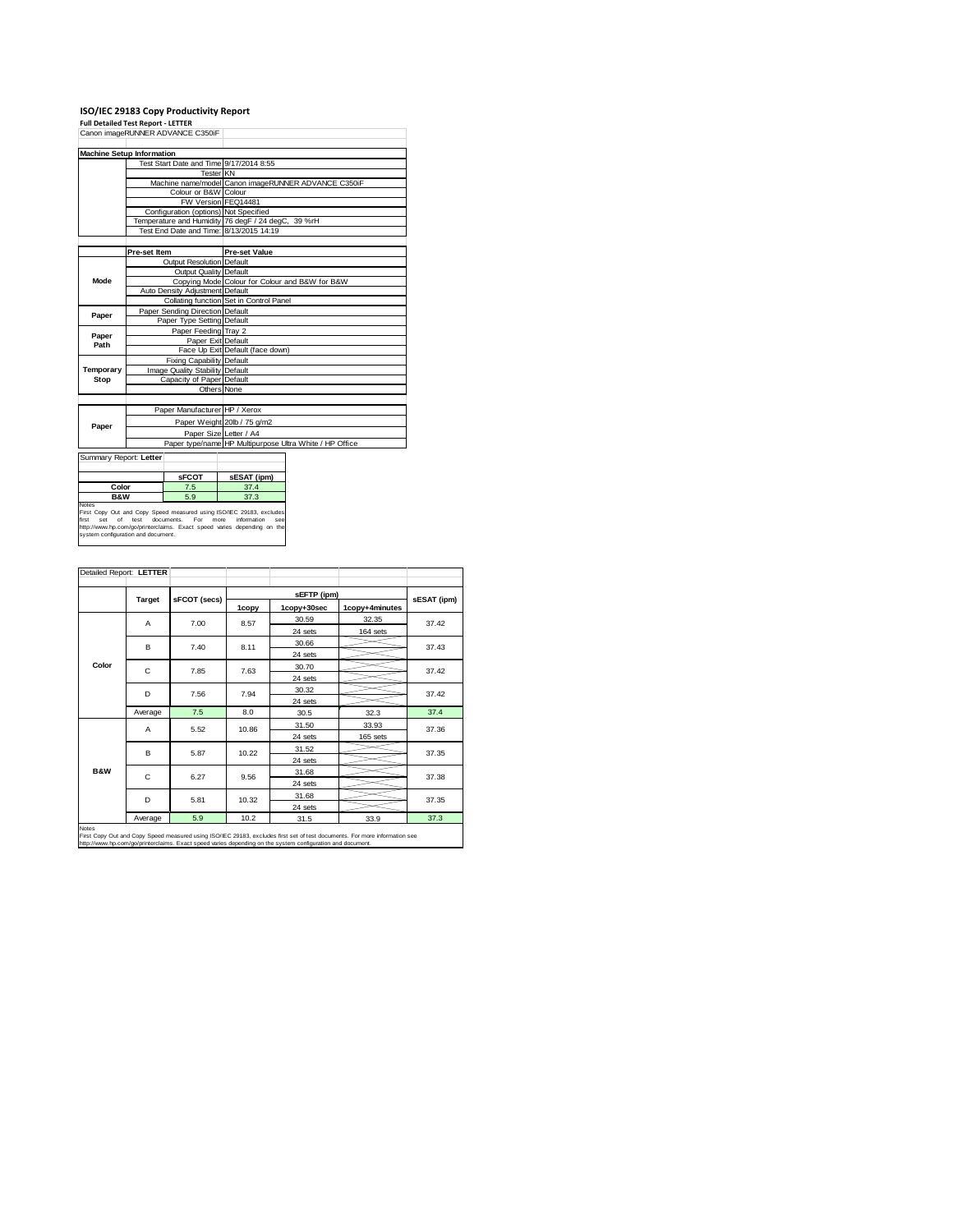# **ISO/IEC 29183 Copy Productivity Report Full Detailed Test Report ‐ LETTER** Canon imageRUNNER ADVANCE C350iF

| <b>Machine Setup Information</b><br>Test Start Date and Time 9/17/2014 8:55<br><b>Tester KN</b><br>Machine name/model Canon imageRUNNER ADVANCE C350iF<br>Colour or B&W Colour<br>FW Version FEQ14481<br>Configuration (options) Not Specified<br>Temperature and Humidity 76 degF / 24 degC, 39 %rH<br>Test End Date and Time: 8/13/2015 14:19<br>Pre-set Item<br><b>Pre-set Value</b><br>Output Resolution Default<br>Output Quality Default<br><b>Mode</b><br>Copying Mode Colour for Colour and B&W for B&W<br>Auto Density Adjustment Default<br>Collating function Set in Control Panel<br>Paper Sending Direction Default<br>Paper<br>Paper Type Setting Default<br>Paper Feeding Tray 2<br>Paper<br>Paper Exit Default<br>Path<br>Face Up Exit Default (face down)<br>Fixing Capability Default<br>Image Quality Stability Default<br>Temporary<br>Stop<br>Capacity of Paper Default<br>Others None<br>Paper Manufacturer HP / Xerox<br>Paper Weight 20lb / 75 g/m2<br>Paper<br>Paper Size Letter / A4<br>Paper type/name HP Multipurpose Ultra White / HP Office |  |  |
|---------------------------------------------------------------------------------------------------------------------------------------------------------------------------------------------------------------------------------------------------------------------------------------------------------------------------------------------------------------------------------------------------------------------------------------------------------------------------------------------------------------------------------------------------------------------------------------------------------------------------------------------------------------------------------------------------------------------------------------------------------------------------------------------------------------------------------------------------------------------------------------------------------------------------------------------------------------------------------------------------------------------------------------------------------------------------|--|--|
|                                                                                                                                                                                                                                                                                                                                                                                                                                                                                                                                                                                                                                                                                                                                                                                                                                                                                                                                                                                                                                                                           |  |  |
|                                                                                                                                                                                                                                                                                                                                                                                                                                                                                                                                                                                                                                                                                                                                                                                                                                                                                                                                                                                                                                                                           |  |  |
|                                                                                                                                                                                                                                                                                                                                                                                                                                                                                                                                                                                                                                                                                                                                                                                                                                                                                                                                                                                                                                                                           |  |  |
|                                                                                                                                                                                                                                                                                                                                                                                                                                                                                                                                                                                                                                                                                                                                                                                                                                                                                                                                                                                                                                                                           |  |  |
|                                                                                                                                                                                                                                                                                                                                                                                                                                                                                                                                                                                                                                                                                                                                                                                                                                                                                                                                                                                                                                                                           |  |  |
|                                                                                                                                                                                                                                                                                                                                                                                                                                                                                                                                                                                                                                                                                                                                                                                                                                                                                                                                                                                                                                                                           |  |  |
|                                                                                                                                                                                                                                                                                                                                                                                                                                                                                                                                                                                                                                                                                                                                                                                                                                                                                                                                                                                                                                                                           |  |  |
|                                                                                                                                                                                                                                                                                                                                                                                                                                                                                                                                                                                                                                                                                                                                                                                                                                                                                                                                                                                                                                                                           |  |  |
|                                                                                                                                                                                                                                                                                                                                                                                                                                                                                                                                                                                                                                                                                                                                                                                                                                                                                                                                                                                                                                                                           |  |  |
|                                                                                                                                                                                                                                                                                                                                                                                                                                                                                                                                                                                                                                                                                                                                                                                                                                                                                                                                                                                                                                                                           |  |  |
|                                                                                                                                                                                                                                                                                                                                                                                                                                                                                                                                                                                                                                                                                                                                                                                                                                                                                                                                                                                                                                                                           |  |  |
|                                                                                                                                                                                                                                                                                                                                                                                                                                                                                                                                                                                                                                                                                                                                                                                                                                                                                                                                                                                                                                                                           |  |  |
|                                                                                                                                                                                                                                                                                                                                                                                                                                                                                                                                                                                                                                                                                                                                                                                                                                                                                                                                                                                                                                                                           |  |  |
|                                                                                                                                                                                                                                                                                                                                                                                                                                                                                                                                                                                                                                                                                                                                                                                                                                                                                                                                                                                                                                                                           |  |  |
|                                                                                                                                                                                                                                                                                                                                                                                                                                                                                                                                                                                                                                                                                                                                                                                                                                                                                                                                                                                                                                                                           |  |  |
|                                                                                                                                                                                                                                                                                                                                                                                                                                                                                                                                                                                                                                                                                                                                                                                                                                                                                                                                                                                                                                                                           |  |  |
|                                                                                                                                                                                                                                                                                                                                                                                                                                                                                                                                                                                                                                                                                                                                                                                                                                                                                                                                                                                                                                                                           |  |  |
|                                                                                                                                                                                                                                                                                                                                                                                                                                                                                                                                                                                                                                                                                                                                                                                                                                                                                                                                                                                                                                                                           |  |  |
|                                                                                                                                                                                                                                                                                                                                                                                                                                                                                                                                                                                                                                                                                                                                                                                                                                                                                                                                                                                                                                                                           |  |  |
|                                                                                                                                                                                                                                                                                                                                                                                                                                                                                                                                                                                                                                                                                                                                                                                                                                                                                                                                                                                                                                                                           |  |  |
|                                                                                                                                                                                                                                                                                                                                                                                                                                                                                                                                                                                                                                                                                                                                                                                                                                                                                                                                                                                                                                                                           |  |  |
|                                                                                                                                                                                                                                                                                                                                                                                                                                                                                                                                                                                                                                                                                                                                                                                                                                                                                                                                                                                                                                                                           |  |  |
|                                                                                                                                                                                                                                                                                                                                                                                                                                                                                                                                                                                                                                                                                                                                                                                                                                                                                                                                                                                                                                                                           |  |  |
|                                                                                                                                                                                                                                                                                                                                                                                                                                                                                                                                                                                                                                                                                                                                                                                                                                                                                                                                                                                                                                                                           |  |  |
|                                                                                                                                                                                                                                                                                                                                                                                                                                                                                                                                                                                                                                                                                                                                                                                                                                                                                                                                                                                                                                                                           |  |  |
|                                                                                                                                                                                                                                                                                                                                                                                                                                                                                                                                                                                                                                                                                                                                                                                                                                                                                                                                                                                                                                                                           |  |  |
|                                                                                                                                                                                                                                                                                                                                                                                                                                                                                                                                                                                                                                                                                                                                                                                                                                                                                                                                                                                                                                                                           |  |  |
|                                                                                                                                                                                                                                                                                                                                                                                                                                                                                                                                                                                                                                                                                                                                                                                                                                                                                                                                                                                                                                                                           |  |  |
|                                                                                                                                                                                                                                                                                                                                                                                                                                                                                                                                                                                                                                                                                                                                                                                                                                                                                                                                                                                                                                                                           |  |  |
|                                                                                                                                                                                                                                                                                                                                                                                                                                                                                                                                                                                                                                                                                                                                                                                                                                                                                                                                                                                                                                                                           |  |  |

| Summary Report: Letter                                                                                                                                                                                                                                                  |              |             |  |  |  |  |
|-------------------------------------------------------------------------------------------------------------------------------------------------------------------------------------------------------------------------------------------------------------------------|--------------|-------------|--|--|--|--|
|                                                                                                                                                                                                                                                                         | <b>SFCOT</b> | sESAT (ipm) |  |  |  |  |
| Color                                                                                                                                                                                                                                                                   | 7.5          | 37.4        |  |  |  |  |
| <b>B&amp;W</b>                                                                                                                                                                                                                                                          | 5.9          | 37.3        |  |  |  |  |
| <b>Notes</b><br>First Copy Out and Copy Speed measured using ISO/IEC 29183, excludes<br>information<br>set of test documents. For more<br>first<br>see<br>http://www.hp.com/go/printerclaims. Exact speed varies depending on the<br>system configuration and document. |              |             |  |  |  |  |

|                | Detailed Report: LETTER |              |         |             |                |             |  |
|----------------|-------------------------|--------------|---------|-------------|----------------|-------------|--|
|                |                         |              |         | sEFTP (ipm) |                |             |  |
|                | <b>Target</b>           | sFCOT (secs) | 1copy   | 1copy+30sec | 1copy+4minutes | sESAT (ipm) |  |
|                | A                       | 7.00         | 8.57    | 30.59       | 32.35          | 37.42       |  |
|                |                         |              |         | 24 sets     | 164 sets       |             |  |
|                | в                       | 7.40         | 8.11    | 30.66       |                | 37.43       |  |
|                |                         |              |         | 24 sets     |                |             |  |
| Color          | C                       | 7.85         | 7.63    | 30.70       |                | 37.42       |  |
|                |                         |              |         | 24 sets     |                |             |  |
| D              |                         | 7.56         | 7.94    | 30.32       |                | 37.42       |  |
|                |                         |              | 24 sets |             |                |             |  |
|                | Average                 | 7.5          | 8.0     | 30.5        | 32.3           | 37.4        |  |
|                | A                       | 5.52         | 10.86   | 31.50       | 33.93          | 37.36       |  |
|                |                         |              |         | 24 sets     | 165 sets       |             |  |
|                | B                       | 5.87         | 10.22   | 31.52       |                | 37.35       |  |
|                |                         |              |         | 24 sets     |                |             |  |
| <b>B&amp;W</b> | C                       | 6.27         | 9.56    | 31.68       |                | 37.38       |  |
|                |                         |              | 24 sets |             |                |             |  |
| D              |                         | 5.81         | 10.32   | 31.68       |                | 37.35       |  |
|                |                         |              | 24 sets |             |                |             |  |
|                | Average                 | 5.9          | 10.2    | 31.5        | 33.9           | 37.3        |  |

First Copy Out and Copy Speed measured using ISO/IEC 29183, excludes first set of test documents. For more information see<br>http://www.hp.com/go/printerclaims. Exact speed varies depending on the system configuration and do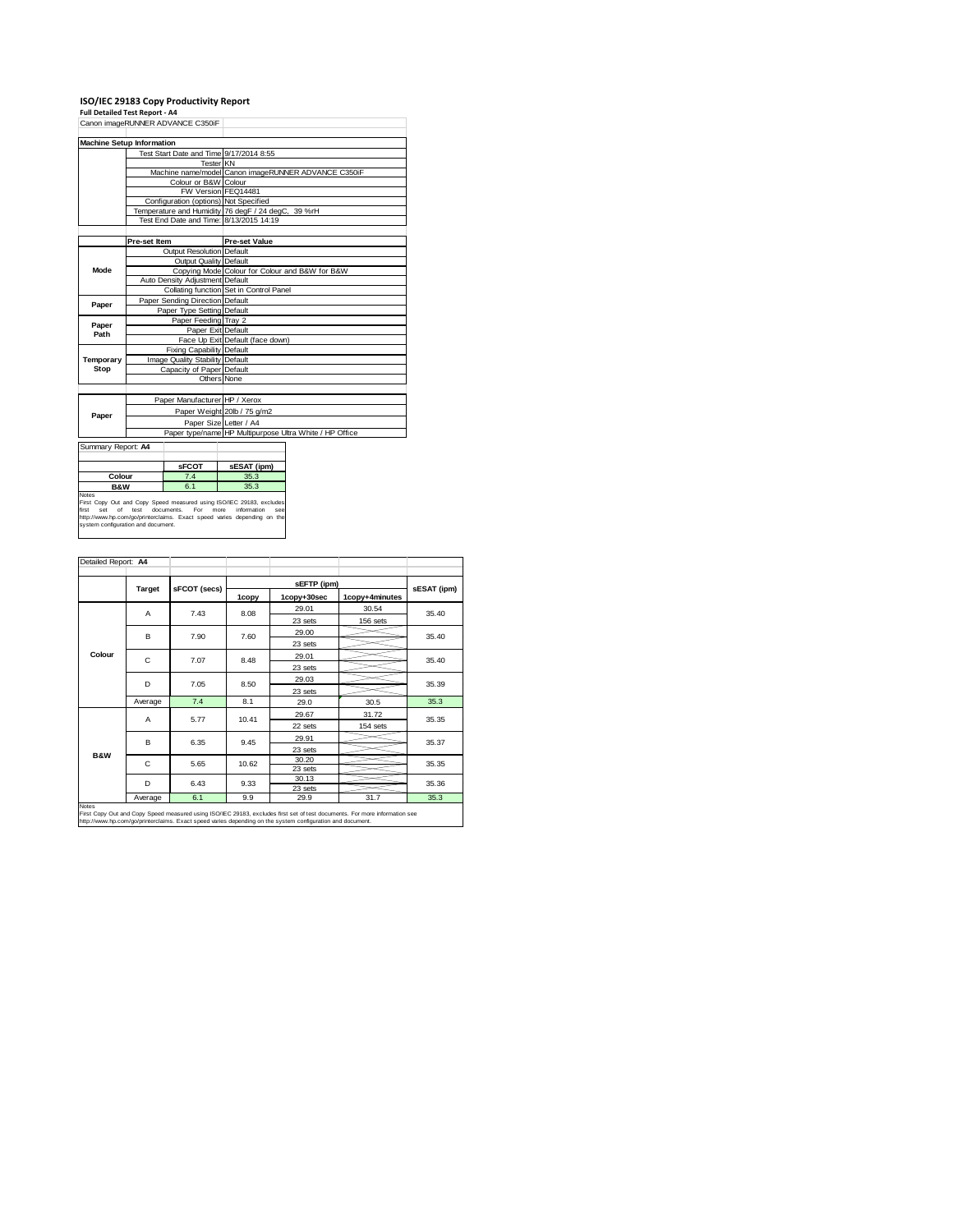### **ISO/IEC 29183 Copy Productivity Report Full Detailed Test Report ‐ A4**

| Canon imageRUNNER ADVANCE C350iF |                                         |                                                         |
|----------------------------------|-----------------------------------------|---------------------------------------------------------|
|                                  | <b>Machine Setup Information</b>        |                                                         |
|                                  | Test Start Date and Time 9/17/2014 8:55 |                                                         |
|                                  | <b>Tester KN</b>                        |                                                         |
|                                  |                                         | Machine name/model Canon imageRUNNER ADVANCE C350iF     |
|                                  | Colour or B&W Colour                    |                                                         |
|                                  | FW Version FEQ14481                     |                                                         |
|                                  | Configuration (options) Not Specified   |                                                         |
|                                  |                                         | Temperature and Humidity 76 degF / 24 degC, 39 %rH      |
|                                  | Test End Date and Time: 8/13/2015 14:19 |                                                         |
|                                  |                                         |                                                         |
|                                  | Pre-set Item                            | <b>Pre-set Value</b>                                    |
|                                  | <b>Output Resolution Default</b>        |                                                         |
|                                  | Output Quality Default                  |                                                         |
| <b>Mode</b>                      |                                         | Copying Mode Colour for Colour and B&W for B&W          |
|                                  | Auto Density Adjustment Default         |                                                         |
|                                  |                                         | Collating function Set in Control Panel                 |
| Paper                            | Paper Sending Direction Default         |                                                         |
|                                  | Paper Type Setting Default              |                                                         |
| Paper                            | Paper Feeding Tray 2                    |                                                         |
| Path                             | Paper Exit Default                      |                                                         |
|                                  |                                         | Face Up Exit Default (face down)                        |
|                                  | <b>Fixing Capability Default</b>        |                                                         |
| Temporary                        | Image Quality Stability Default         |                                                         |
| Stop                             | Capacity of Paper Default               |                                                         |
|                                  | Others None                             |                                                         |
|                                  |                                         |                                                         |
|                                  | Paper Manufacturer HP / Xerox           |                                                         |
| Paper                            |                                         | Paper Weight 20lb / 75 g/m2                             |
|                                  | Paper Size Letter / A4                  |                                                         |
|                                  |                                         | Paper type/name HP Multipurpose Ultra White / HP Office |
|                                  |                                         |                                                         |

Summary Report: **A4**

|                                                                                                    | <b>SFCOT</b>                                                                                                                                                                                                                   | sESAT (ipm)                           |
|----------------------------------------------------------------------------------------------------|--------------------------------------------------------------------------------------------------------------------------------------------------------------------------------------------------------------------------------|---------------------------------------|
| Colour                                                                                             | 7.4                                                                                                                                                                                                                            | 35.3                                  |
| <b>B&amp;W</b>                                                                                     | 6.1                                                                                                                                                                                                                            | 35.3                                  |
| <b>Notes</b>                                                                                       |                                                                                                                                                                                                                                |                                       |
| First Copy Out and Copy Speed measured using ISO/IEC 29183, exclude<br>Exat ant of tant dearnametr | Fee in the second state of the second state of the second state in the second state in the second state in the second state in the second state in the second state in the second state in the second state in the second stat | informacion.<br><b>CONTRACTOR</b><br> |

First Copy Out and Copy Speed measured using ISO/IEC 29183, excludes<br>first set of test documents. For more information see<br>http://www.hp.com/go/printerclaims. Exact speed varies depending on the<br>system configuration and do

| Detailed Report: A4 |               |              |       |                            |                |             |  |
|---------------------|---------------|--------------|-------|----------------------------|----------------|-------------|--|
|                     |               |              |       |                            |                |             |  |
|                     | <b>Target</b> | sFCOT (secs) | 1copy | sEFTP (ipm)<br>1copy+30sec | 1copy+4minutes | sESAT (ipm) |  |
|                     | A             | 7.43         | 8.08  | 29.01                      | 30.54          | 35.40       |  |
|                     |               |              |       | 23 sets                    | 156 sets       |             |  |
|                     | B             | 7.90         | 7.60  | 29.00                      |                | 35.40       |  |
|                     |               |              |       | 23 sets                    |                |             |  |
| Colour              | C             | 7.07         | 8.48  | 29.01                      |                | 35.40       |  |
|                     |               |              |       | 23 sets                    |                |             |  |
|                     | D             | 7.05         | 8.50  | 29.03                      |                | 35.39       |  |
|                     |               |              |       | 23 sets                    |                |             |  |
|                     | Average       | 7.4          | 8.1   | 29.0                       | 30.5           | 35.3        |  |
|                     | A             | 5.77         | 10.41 | 29.67                      | 31.72          | 35.35       |  |
|                     |               |              |       | 22 sets                    | 154 sets       |             |  |
|                     | B             | 6.35         | 9.45  | 29.91                      |                | 35.37       |  |
| <b>B&amp;W</b>      |               |              |       | 23 sets                    |                |             |  |
|                     | C             | 5.65         | 10.62 | 30.20                      |                | 35.35       |  |
|                     |               |              |       | 23 sets                    |                |             |  |
|                     | D             | 6.43         | 9.33  | 30.13<br>23 sets           |                | 35.36       |  |
|                     | Average       | 6.1          | 9.9   | 29.9                       | 31.7           | 35.3        |  |
| <b>Notes</b>        |               |              |       |                            |                |             |  |

Notes<br>First Copy Out and Copy Speed measured using ISO/IEC 29183, excludes first set of test documents. For more information see<br>http://www.hp.com/qo/printerclaims. Exact speed varies depending on the system configuration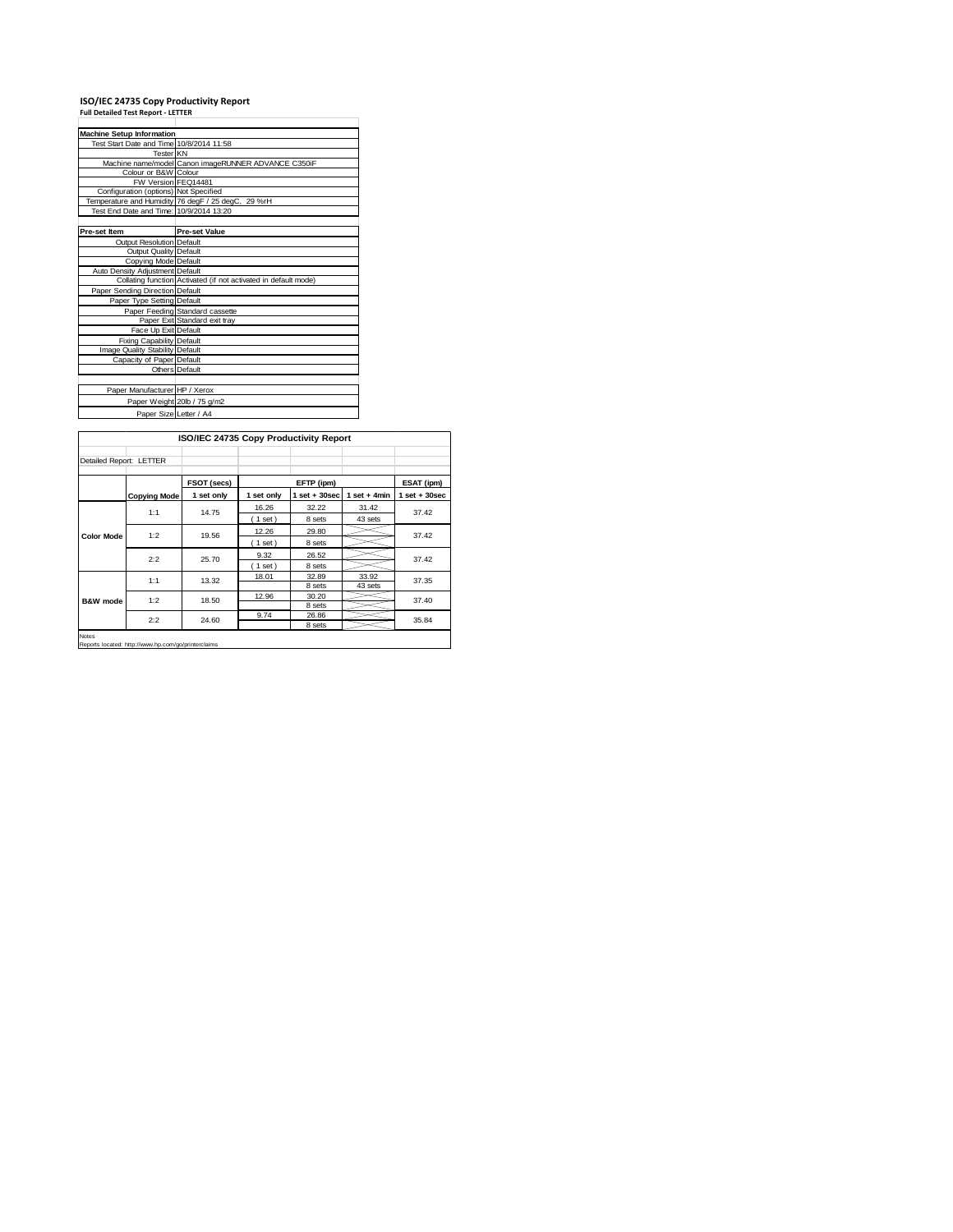### **ISO/IEC 24735 Copy Productivity Report Full Detailed Test Report ‐ LETTER**

| <b>Machine Setup Information</b>         |                                                                 |
|------------------------------------------|-----------------------------------------------------------------|
| Test Start Date and Time 10/8/2014 11:58 |                                                                 |
| Tester KN                                |                                                                 |
|                                          | Machine name/model Canon imageRUNNER ADVANCE C350iF             |
| Colour or B&W Colour                     |                                                                 |
| FW Version FEQ14481                      |                                                                 |
| Configuration (options) Not Specified    |                                                                 |
|                                          | Temperature and Humidity 76 degF / 25 degC, 29 %rH              |
| Test End Date and Time: 10/9/2014 13:20  |                                                                 |
|                                          |                                                                 |
| Pre-set Item                             | <b>Pre-set Value</b>                                            |
| Output Resolution Default                |                                                                 |
| Output Quality Default                   |                                                                 |
| Copying Mode Default                     |                                                                 |
| Auto Density Adjustment Default          |                                                                 |
|                                          | Collating function Activated (if not activated in default mode) |
| Paper Sending Direction Default          |                                                                 |
| Paper Type Setting Default               |                                                                 |
|                                          | Paper Feeding Standard cassette                                 |
|                                          | Paper Exit Standard exit tray                                   |
| Face Up Exit Default                     |                                                                 |
| <b>Fixing Capability Default</b>         |                                                                 |
| Image Quality Stability Default          |                                                                 |
| Capacity of Paper Default                |                                                                 |
|                                          | Others Default                                                  |
|                                          |                                                                 |
| Paper Manufacturer HP / Xerox            |                                                                 |
|                                          | Paper Weight 20lb / 75 g/m2                                     |
| Paper Size Letter / A4                   |                                                                 |
|                                          |                                                                 |

|                         | ISO/IEC 24735 Copy Productivity Report |             |            |                 |                 |                                                    |  |
|-------------------------|----------------------------------------|-------------|------------|-----------------|-----------------|----------------------------------------------------|--|
| Detailed Report: LETTER |                                        |             |            |                 |                 |                                                    |  |
|                         |                                        | FSOT (secs) |            | EFTP (ipm)      |                 | ESAT (ipm)                                         |  |
|                         | <b>Copying Mode</b>                    | 1 set only  | 1 set only | $1$ set + 30sec | 1 set + 4 $min$ | $1$ set $+30$ sec                                  |  |
|                         | 1:1                                    | 14.75       | 16.26      | 32.22           | 31.42           |                                                    |  |
|                         |                                        |             | (1 set)    | 8 sets          | 43 sets         | 37.42<br>37.42<br>37.42<br>37.35<br>37.40<br>35.84 |  |
| <b>Color Mode</b>       | 1:2                                    | 19.56       | 12.26      | 29.80           |                 |                                                    |  |
|                         |                                        |             | $1$ set)   | 8 sets          |                 |                                                    |  |
|                         | 2:2                                    | 25.70       | 9.32       | 26.52           |                 |                                                    |  |
|                         |                                        |             | (1 set)    | 8 sets          |                 |                                                    |  |
|                         | 1:1                                    | 13.32       | 18.01      | 32.89           | 33.92           |                                                    |  |
| <b>B&amp;W</b> mode     |                                        |             |            | 8 sets          | 43 sets         |                                                    |  |
|                         | 1:2                                    | 18.50       | 12.96      | 30.20           |                 |                                                    |  |
|                         |                                        |             |            | 8 sets          |                 |                                                    |  |
|                         | 2:2                                    | 24.60       | 9.74       | 26.86<br>8 sets |                 |                                                    |  |
| Notes                   |                                        |             |            |                 |                 |                                                    |  |

**Re** is<br>orts located: http://www.hp